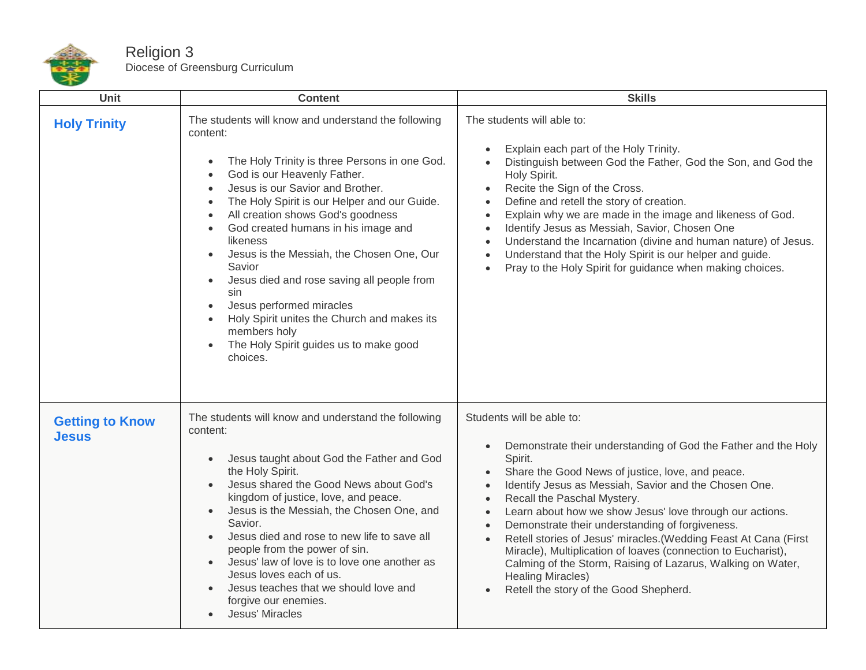

## Religion 3 Diocese of Greensburg Curriculum

| Unit                                   | <b>Content</b>                                                                                                                                                                                                                                                                                                                                                                                                                                                                                                                                                                                        | <b>Skills</b>                                                                                                                                                                                                                                                                                                                                                                                                                                                                                                                                                                                                                                                                                                                          |
|----------------------------------------|-------------------------------------------------------------------------------------------------------------------------------------------------------------------------------------------------------------------------------------------------------------------------------------------------------------------------------------------------------------------------------------------------------------------------------------------------------------------------------------------------------------------------------------------------------------------------------------------------------|----------------------------------------------------------------------------------------------------------------------------------------------------------------------------------------------------------------------------------------------------------------------------------------------------------------------------------------------------------------------------------------------------------------------------------------------------------------------------------------------------------------------------------------------------------------------------------------------------------------------------------------------------------------------------------------------------------------------------------------|
| <b>Holy Trinity</b>                    | The students will know and understand the following<br>content:<br>The Holy Trinity is three Persons in one God.<br>God is our Heavenly Father.<br>Jesus is our Savior and Brother.<br>The Holy Spirit is our Helper and our Guide.<br>All creation shows God's goodness<br>God created humans in his image and<br>likeness<br>Jesus is the Messiah, the Chosen One, Our<br>Savior<br>Jesus died and rose saving all people from<br>sin<br>Jesus performed miracles<br>Holy Spirit unites the Church and makes its<br>$\bullet$<br>members holy<br>The Holy Spirit guides us to make good<br>choices. | The students will able to:<br>Explain each part of the Holy Trinity.<br>$\bullet$<br>Distinguish between God the Father, God the Son, and God the<br>Holy Spirit.<br>Recite the Sign of the Cross.<br>$\bullet$<br>Define and retell the story of creation.<br>$\bullet$<br>Explain why we are made in the image and likeness of God.<br>$\bullet$<br>Identify Jesus as Messiah, Savior, Chosen One<br>$\bullet$<br>Understand the Incarnation (divine and human nature) of Jesus.<br>$\bullet$<br>Understand that the Holy Spirit is our helper and guide.<br>$\bullet$<br>Pray to the Holy Spirit for guidance when making choices.<br>$\bullet$                                                                                     |
| <b>Getting to Know</b><br><b>Jesus</b> | The students will know and understand the following<br>content:<br>Jesus taught about God the Father and God<br>the Holy Spirit.<br>Jesus shared the Good News about God's<br>kingdom of justice, love, and peace.<br>Jesus is the Messiah, the Chosen One, and<br>Savior.<br>Jesus died and rose to new life to save all<br>people from the power of sin.<br>Jesus' law of love is to love one another as<br>Jesus loves each of us.<br>Jesus teaches that we should love and<br>forgive our enemies.<br>Jesus' Miracles                                                                             | Students will be able to:<br>Demonstrate their understanding of God the Father and the Holy<br>$\bullet$<br>Spirit.<br>Share the Good News of justice, love, and peace.<br>$\bullet$<br>Identify Jesus as Messiah, Savior and the Chosen One.<br>$\bullet$<br>Recall the Paschal Mystery.<br>$\bullet$<br>Learn about how we show Jesus' love through our actions.<br>$\bullet$<br>Demonstrate their understanding of forgiveness.<br>$\bullet$<br>Retell stories of Jesus' miracles. (Wedding Feast At Cana (First<br>$\bullet$<br>Miracle), Multiplication of loaves (connection to Eucharist),<br>Calming of the Storm, Raising of Lazarus, Walking on Water,<br><b>Healing Miracles)</b><br>Retell the story of the Good Shepherd. |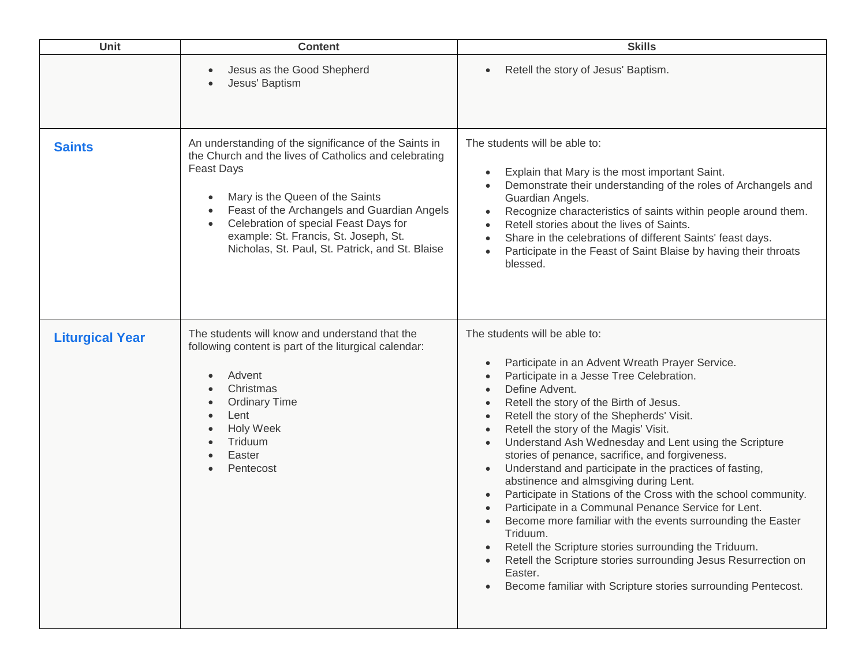| Unit                   | <b>Content</b>                                                                                                                                                                                                                                                                                                                                                                                    | <b>Skills</b>                                                                                                                                                                                                                                                                                                                                                                                                                                                                                                                                                                                                                                                                                                                                                                                                                                                                                                                                                                              |
|------------------------|---------------------------------------------------------------------------------------------------------------------------------------------------------------------------------------------------------------------------------------------------------------------------------------------------------------------------------------------------------------------------------------------------|--------------------------------------------------------------------------------------------------------------------------------------------------------------------------------------------------------------------------------------------------------------------------------------------------------------------------------------------------------------------------------------------------------------------------------------------------------------------------------------------------------------------------------------------------------------------------------------------------------------------------------------------------------------------------------------------------------------------------------------------------------------------------------------------------------------------------------------------------------------------------------------------------------------------------------------------------------------------------------------------|
|                        | Jesus as the Good Shepherd<br>Jesus' Baptism                                                                                                                                                                                                                                                                                                                                                      | Retell the story of Jesus' Baptism.                                                                                                                                                                                                                                                                                                                                                                                                                                                                                                                                                                                                                                                                                                                                                                                                                                                                                                                                                        |
| <b>Saints</b>          | An understanding of the significance of the Saints in<br>the Church and the lives of Catholics and celebrating<br><b>Feast Days</b><br>Mary is the Queen of the Saints<br>$\bullet$<br>Feast of the Archangels and Guardian Angels<br>$\bullet$<br>Celebration of special Feast Days for<br>$\bullet$<br>example: St. Francis, St. Joseph, St.<br>Nicholas, St. Paul, St. Patrick, and St. Blaise | The students will be able to:<br>Explain that Mary is the most important Saint.<br>Demonstrate their understanding of the roles of Archangels and<br>Guardian Angels.<br>Recognize characteristics of saints within people around them.<br>$\bullet$<br>Retell stories about the lives of Saints.<br>Share in the celebrations of different Saints' feast days.<br>Participate in the Feast of Saint Blaise by having their throats<br>blessed.                                                                                                                                                                                                                                                                                                                                                                                                                                                                                                                                            |
| <b>Liturgical Year</b> | The students will know and understand that the<br>following content is part of the liturgical calendar:<br>Advent<br>Christmas<br><b>Ordinary Time</b><br>Lent<br><b>Holy Week</b><br>Triduum<br>Easter<br>Pentecost                                                                                                                                                                              | The students will be able to:<br>Participate in an Advent Wreath Prayer Service.<br>Participate in a Jesse Tree Celebration.<br>$\bullet$<br>Define Advent.<br>Retell the story of the Birth of Jesus.<br>$\bullet$<br>Retell the story of the Shepherds' Visit.<br>$\bullet$<br>Retell the story of the Magis' Visit.<br>$\bullet$<br>Understand Ash Wednesday and Lent using the Scripture<br>$\bullet$<br>stories of penance, sacrifice, and forgiveness.<br>Understand and participate in the practices of fasting,<br>$\bullet$<br>abstinence and almsgiving during Lent.<br>Participate in Stations of the Cross with the school community.<br>Participate in a Communal Penance Service for Lent.<br>Become more familiar with the events surrounding the Easter<br>Triduum.<br>Retell the Scripture stories surrounding the Triduum.<br>Retell the Scripture stories surrounding Jesus Resurrection on<br>Easter.<br>Become familiar with Scripture stories surrounding Pentecost. |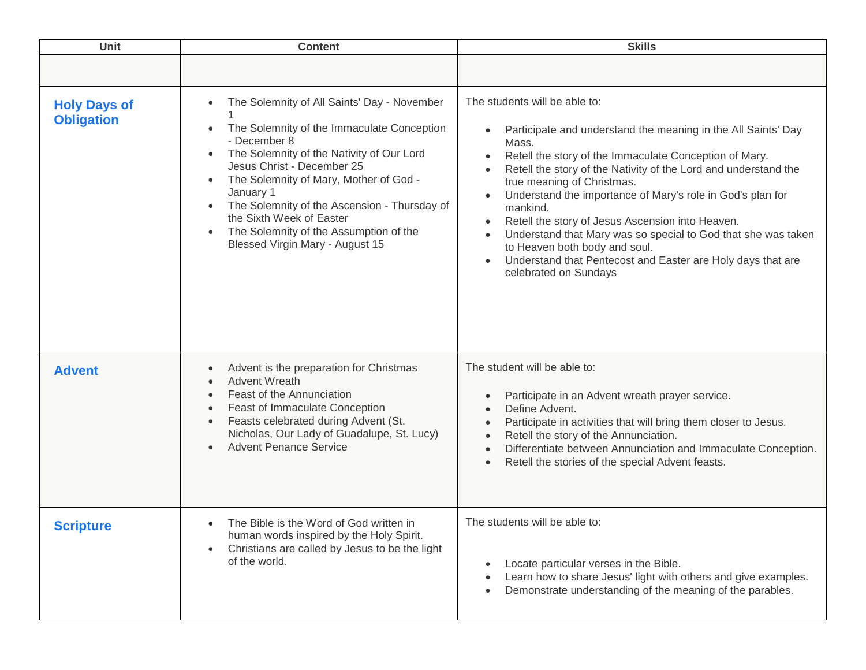| Unit                                     | <b>Content</b>                                                                                                                                                                                                                                                                                                                                                                                                                                                                     | <b>Skills</b>                                                                                                                                                                                                                                                                                                                                                                                                                                                                                                                                                                                                                                                            |
|------------------------------------------|------------------------------------------------------------------------------------------------------------------------------------------------------------------------------------------------------------------------------------------------------------------------------------------------------------------------------------------------------------------------------------------------------------------------------------------------------------------------------------|--------------------------------------------------------------------------------------------------------------------------------------------------------------------------------------------------------------------------------------------------------------------------------------------------------------------------------------------------------------------------------------------------------------------------------------------------------------------------------------------------------------------------------------------------------------------------------------------------------------------------------------------------------------------------|
|                                          |                                                                                                                                                                                                                                                                                                                                                                                                                                                                                    |                                                                                                                                                                                                                                                                                                                                                                                                                                                                                                                                                                                                                                                                          |
| <b>Holy Days of</b><br><b>Obligation</b> | The Solemnity of All Saints' Day - November<br>$\bullet$<br>The Solemnity of the Immaculate Conception<br>$\bullet$<br>- December 8<br>The Solemnity of the Nativity of Our Lord<br>$\bullet$<br>Jesus Christ - December 25<br>The Solemnity of Mary, Mother of God -<br>$\bullet$<br>January 1<br>The Solemnity of the Ascension - Thursday of<br>$\bullet$<br>the Sixth Week of Easter<br>The Solemnity of the Assumption of the<br>$\bullet$<br>Blessed Virgin Mary - August 15 | The students will be able to:<br>Participate and understand the meaning in the All Saints' Day<br>Mass.<br>Retell the story of the Immaculate Conception of Mary.<br>$\bullet$<br>Retell the story of the Nativity of the Lord and understand the<br>$\bullet$<br>true meaning of Christmas.<br>Understand the importance of Mary's role in God's plan for<br>$\bullet$<br>mankind.<br>Retell the story of Jesus Ascension into Heaven.<br>$\bullet$<br>Understand that Mary was so special to God that she was taken<br>$\bullet$<br>to Heaven both body and soul.<br>Understand that Pentecost and Easter are Holy days that are<br>$\bullet$<br>celebrated on Sundays |
| <b>Advent</b>                            | Advent is the preparation for Christmas<br>$\bullet$<br><b>Advent Wreath</b><br>$\bullet$<br>Feast of the Annunciation<br>$\bullet$<br>Feast of Immaculate Conception<br>$\bullet$<br>Feasts celebrated during Advent (St.<br>$\bullet$<br>Nicholas, Our Lady of Guadalupe, St. Lucy)<br><b>Advent Penance Service</b>                                                                                                                                                             | The student will be able to:<br>Participate in an Advent wreath prayer service.<br>$\bullet$<br>Define Advent.<br>$\bullet$<br>Participate in activities that will bring them closer to Jesus.<br>$\bullet$<br>Retell the story of the Annunciation.<br>$\bullet$<br>Differentiate between Annunciation and Immaculate Conception.<br>$\bullet$<br>Retell the stories of the special Advent feasts.<br>$\bullet$                                                                                                                                                                                                                                                         |
| <b>Scripture</b>                         | The Bible is the Word of God written in<br>$\bullet$<br>human words inspired by the Holy Spirit.<br>Christians are called by Jesus to be the light<br>$\bullet$<br>of the world.                                                                                                                                                                                                                                                                                                   | The students will be able to:<br>Locate particular verses in the Bible.<br>Learn how to share Jesus' light with others and give examples.<br>Demonstrate understanding of the meaning of the parables.                                                                                                                                                                                                                                                                                                                                                                                                                                                                   |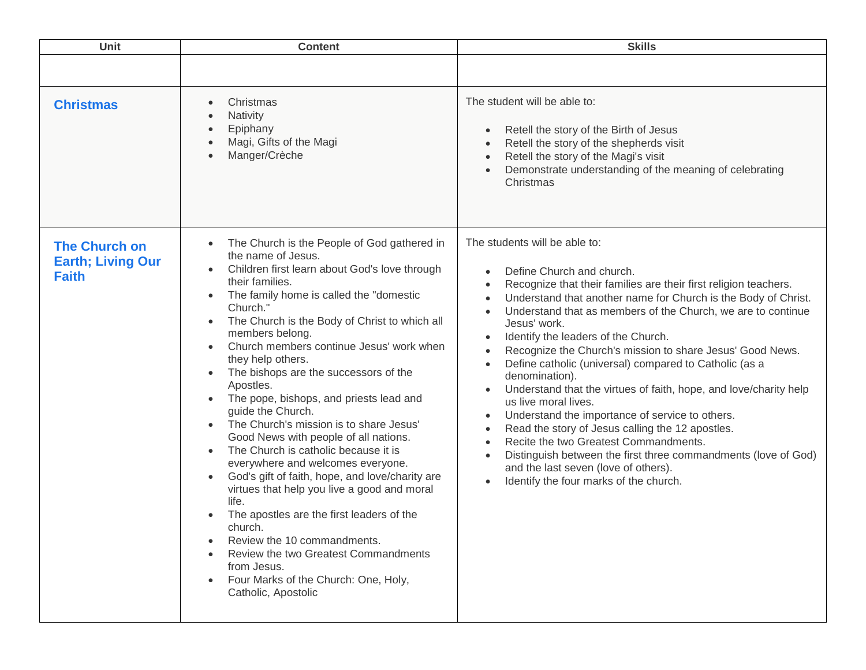| Unit                                                             | <b>Content</b>                                                                                                                                                                                                                                                                                                                                                                                                                                                                                                                                                                                                                                                                                                                                                                                                                                                                                                                                                                                                                                           | <b>Skills</b>                                                                                                                                                                                                                                                                                                                                                                                                                                                                                                                                                                                                                                                                                                                                                                                                                                                                                                                                                                                                                              |
|------------------------------------------------------------------|----------------------------------------------------------------------------------------------------------------------------------------------------------------------------------------------------------------------------------------------------------------------------------------------------------------------------------------------------------------------------------------------------------------------------------------------------------------------------------------------------------------------------------------------------------------------------------------------------------------------------------------------------------------------------------------------------------------------------------------------------------------------------------------------------------------------------------------------------------------------------------------------------------------------------------------------------------------------------------------------------------------------------------------------------------|--------------------------------------------------------------------------------------------------------------------------------------------------------------------------------------------------------------------------------------------------------------------------------------------------------------------------------------------------------------------------------------------------------------------------------------------------------------------------------------------------------------------------------------------------------------------------------------------------------------------------------------------------------------------------------------------------------------------------------------------------------------------------------------------------------------------------------------------------------------------------------------------------------------------------------------------------------------------------------------------------------------------------------------------|
|                                                                  |                                                                                                                                                                                                                                                                                                                                                                                                                                                                                                                                                                                                                                                                                                                                                                                                                                                                                                                                                                                                                                                          |                                                                                                                                                                                                                                                                                                                                                                                                                                                                                                                                                                                                                                                                                                                                                                                                                                                                                                                                                                                                                                            |
| <b>Christmas</b>                                                 | Christmas<br>Nativity<br>Epiphany<br>Magi, Gifts of the Magi<br>Manger/Crèche                                                                                                                                                                                                                                                                                                                                                                                                                                                                                                                                                                                                                                                                                                                                                                                                                                                                                                                                                                            | The student will be able to:<br>Retell the story of the Birth of Jesus<br>$\bullet$<br>Retell the story of the shepherds visit<br>$\bullet$<br>Retell the story of the Magi's visit<br>$\bullet$<br>Demonstrate understanding of the meaning of celebrating<br>$\bullet$<br>Christmas                                                                                                                                                                                                                                                                                                                                                                                                                                                                                                                                                                                                                                                                                                                                                      |
| <b>The Church on</b><br><b>Earth; Living Our</b><br><b>Faith</b> | The Church is the People of God gathered in<br>$\bullet$<br>the name of Jesus.<br>Children first learn about God's love through<br>$\bullet$<br>their families.<br>The family home is called the "domestic<br>$\bullet$<br>Church."<br>The Church is the Body of Christ to which all<br>$\bullet$<br>members belong.<br>Church members continue Jesus' work when<br>$\bullet$<br>they help others.<br>The bishops are the successors of the<br>$\bullet$<br>Apostles.<br>The pope, bishops, and priests lead and<br>guide the Church.<br>The Church's mission is to share Jesus'<br>$\bullet$<br>Good News with people of all nations.<br>The Church is catholic because it is<br>$\bullet$<br>everywhere and welcomes everyone.<br>God's gift of faith, hope, and love/charity are<br>virtues that help you live a good and moral<br>life.<br>The apostles are the first leaders of the<br>church.<br>Review the 10 commandments.<br>Review the two Greatest Commandments<br>from Jesus.<br>Four Marks of the Church: One, Holy,<br>Catholic, Apostolic | The students will be able to:<br>Define Church and church.<br>$\bullet$<br>Recognize that their families are their first religion teachers.<br>$\bullet$<br>Understand that another name for Church is the Body of Christ.<br>$\bullet$<br>Understand that as members of the Church, we are to continue<br>$\bullet$<br>Jesus' work.<br>Identify the leaders of the Church.<br>$\bullet$<br>Recognize the Church's mission to share Jesus' Good News.<br>$\bullet$<br>Define catholic (universal) compared to Catholic (as a<br>$\bullet$<br>denomination).<br>Understand that the virtues of faith, hope, and love/charity help<br>$\bullet$<br>us live moral lives.<br>Understand the importance of service to others.<br>$\bullet$<br>Read the story of Jesus calling the 12 apostles.<br>$\bullet$<br>Recite the two Greatest Commandments.<br>$\bullet$<br>Distinguish between the first three commandments (love of God)<br>$\bullet$<br>and the last seven (love of others).<br>Identify the four marks of the church.<br>$\bullet$ |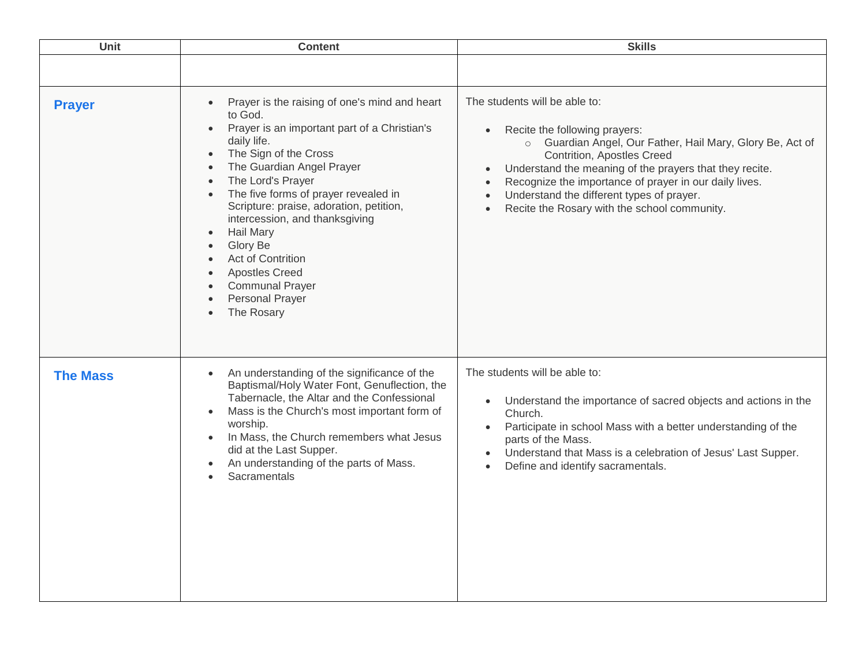| Unit            | <b>Content</b>                                                                                                                                                                                                                                                                                                                                                                                                                                                   | <b>Skills</b>                                                                                                                                                                                                                                                                                                                                                                                                                                |
|-----------------|------------------------------------------------------------------------------------------------------------------------------------------------------------------------------------------------------------------------------------------------------------------------------------------------------------------------------------------------------------------------------------------------------------------------------------------------------------------|----------------------------------------------------------------------------------------------------------------------------------------------------------------------------------------------------------------------------------------------------------------------------------------------------------------------------------------------------------------------------------------------------------------------------------------------|
|                 |                                                                                                                                                                                                                                                                                                                                                                                                                                                                  |                                                                                                                                                                                                                                                                                                                                                                                                                                              |
| <b>Prayer</b>   | Prayer is the raising of one's mind and heart<br>to God.<br>Prayer is an important part of a Christian's<br>daily life.<br>The Sign of the Cross<br>The Guardian Angel Prayer<br>The Lord's Prayer<br>The five forms of prayer revealed in<br>Scripture: praise, adoration, petition,<br>intercession, and thanksgiving<br><b>Hail Mary</b><br>Glory Be<br>Act of Contrition<br><b>Apostles Creed</b><br><b>Communal Prayer</b><br>Personal Prayer<br>The Rosary | The students will be able to:<br>Recite the following prayers:<br>$\bullet$<br>o Guardian Angel, Our Father, Hail Mary, Glory Be, Act of<br>Contrition, Apostles Creed<br>Understand the meaning of the prayers that they recite.<br>$\bullet$<br>Recognize the importance of prayer in our daily lives.<br>$\bullet$<br>Understand the different types of prayer.<br>$\bullet$<br>Recite the Rosary with the school community.<br>$\bullet$ |
| <b>The Mass</b> | An understanding of the significance of the<br>Baptismal/Holy Water Font, Genuflection, the<br>Tabernacle, the Altar and the Confessional<br>Mass is the Church's most important form of<br>worship.<br>In Mass, the Church remembers what Jesus<br>$\bullet$<br>did at the Last Supper.<br>An understanding of the parts of Mass.<br>Sacramentals                                                                                                               | The students will be able to:<br>Understand the importance of sacred objects and actions in the<br>$\bullet$<br>Church.<br>Participate in school Mass with a better understanding of the<br>$\bullet$<br>parts of the Mass.<br>Understand that Mass is a celebration of Jesus' Last Supper.<br>$\bullet$<br>Define and identify sacramentals.<br>$\bullet$                                                                                   |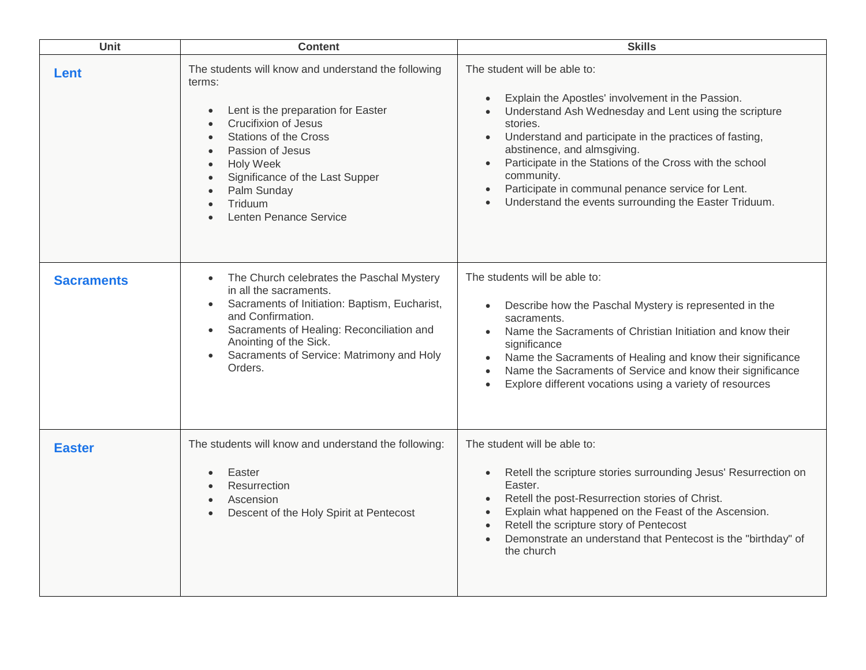| Unit              | <b>Content</b>                                                                                                                                                                                                                                                                                                               | <b>Skills</b>                                                                                                                                                                                                                                                                                                                                                                                                                                                                                             |
|-------------------|------------------------------------------------------------------------------------------------------------------------------------------------------------------------------------------------------------------------------------------------------------------------------------------------------------------------------|-----------------------------------------------------------------------------------------------------------------------------------------------------------------------------------------------------------------------------------------------------------------------------------------------------------------------------------------------------------------------------------------------------------------------------------------------------------------------------------------------------------|
| Lent              | The students will know and understand the following<br>terms:<br>Lent is the preparation for Easter<br>$\bullet$<br><b>Crucifixion of Jesus</b><br><b>Stations of the Cross</b><br>Passion of Jesus<br><b>Holy Week</b><br>Significance of the Last Supper<br>Palm Sunday<br>Triduum<br>Lenten Penance Service               | The student will be able to:<br>Explain the Apostles' involvement in the Passion.<br>$\bullet$<br>Understand Ash Wednesday and Lent using the scripture<br>$\bullet$<br>stories.<br>Understand and participate in the practices of fasting,<br>$\bullet$<br>abstinence, and almsgiving.<br>Participate in the Stations of the Cross with the school<br>$\bullet$<br>community.<br>Participate in communal penance service for Lent.<br>$\bullet$<br>Understand the events surrounding the Easter Triduum. |
| <b>Sacraments</b> | The Church celebrates the Paschal Mystery<br>$\bullet$<br>in all the sacraments.<br>Sacraments of Initiation: Baptism, Eucharist,<br>$\bullet$<br>and Confirmation.<br>Sacraments of Healing: Reconciliation and<br>$\bullet$<br>Anointing of the Sick.<br>Sacraments of Service: Matrimony and Holy<br>$\bullet$<br>Orders. | The students will be able to:<br>Describe how the Paschal Mystery is represented in the<br>$\bullet$<br>sacraments.<br>Name the Sacraments of Christian Initiation and know their<br>$\bullet$<br>significance<br>Name the Sacraments of Healing and know their significance<br>$\bullet$<br>Name the Sacraments of Service and know their significance<br>$\bullet$<br>Explore different vocations using a variety of resources<br>$\bullet$                                                             |
| <b>Easter</b>     | The students will know and understand the following:<br>Easter<br>Resurrection<br>Ascension<br>Descent of the Holy Spirit at Pentecost                                                                                                                                                                                       | The student will be able to:<br>Retell the scripture stories surrounding Jesus' Resurrection on<br>$\bullet$<br>Easter.<br>Retell the post-Resurrection stories of Christ.<br>$\bullet$<br>Explain what happened on the Feast of the Ascension.<br>$\bullet$<br>Retell the scripture story of Pentecost<br>$\bullet$<br>Demonstrate an understand that Pentecost is the "birthday" of<br>$\bullet$<br>the church                                                                                          |